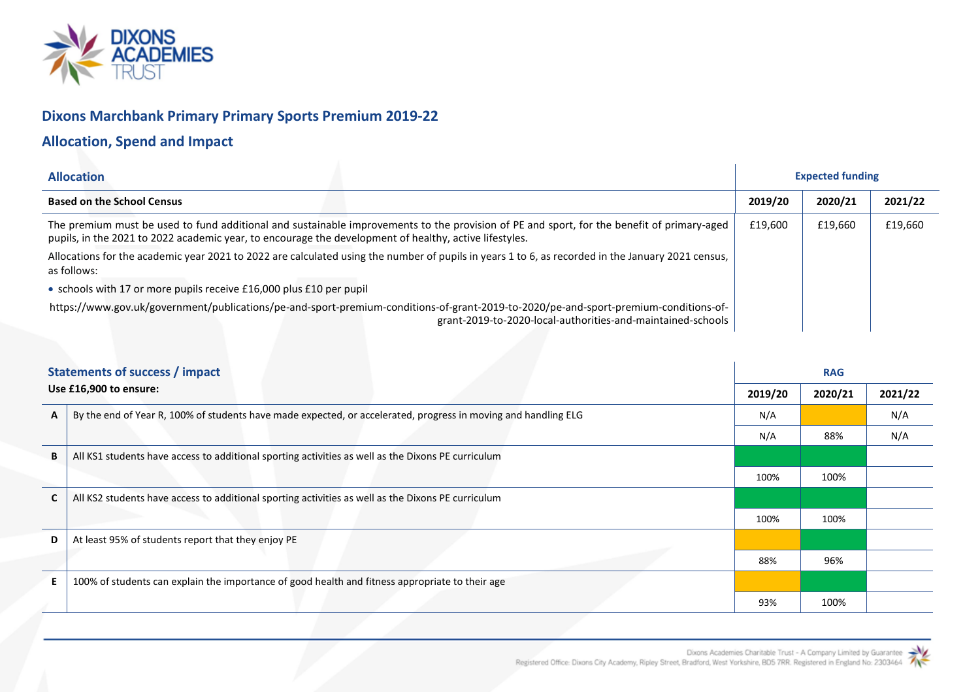

## **Dixons Marchbank Primary Primary Sports Premium 2019-22**

## **Allocation, Spend and Impact**

| <b>Allocation</b>                                                                                                                                                                                                                                    |         | <b>Expected funding</b> |         |
|------------------------------------------------------------------------------------------------------------------------------------------------------------------------------------------------------------------------------------------------------|---------|-------------------------|---------|
| <b>Based on the School Census</b>                                                                                                                                                                                                                    | 2019/20 | 2020/21                 | 2021/22 |
| The premium must be used to fund additional and sustainable improvements to the provision of PE and sport, for the benefit of primary-aged<br>pupils, in the 2021 to 2022 academic year, to encourage the development of healthy, active lifestyles. | £19,600 | £19,660                 | £19,660 |
| Allocations for the academic year 2021 to 2022 are calculated using the number of pupils in years 1 to 6, as recorded in the January 2021 census,<br>as follows:                                                                                     |         |                         |         |
| • schools with 17 or more pupils receive £16,000 plus £10 per pupil                                                                                                                                                                                  |         |                         |         |
| https://www.gov.uk/government/publications/pe-and-sport-premium-conditions-of-grant-2019-to-2020/pe-and-sport-premium-conditions-of-<br>grant-2019-to-2020-local-authorities-and-maintained-schools                                                  |         |                         |         |

| <b>Statements of success / impact</b> |                                                                                                                |         |         | <b>RAG</b> |  |  |  |  |
|---------------------------------------|----------------------------------------------------------------------------------------------------------------|---------|---------|------------|--|--|--|--|
|                                       | Use £16,900 to ensure:                                                                                         | 2019/20 | 2020/21 | 2021/22    |  |  |  |  |
| $\mathsf{A}$                          | By the end of Year R, 100% of students have made expected, or accelerated, progress in moving and handling ELG | N/A     |         | N/A        |  |  |  |  |
|                                       |                                                                                                                | N/A     | 88%     | N/A        |  |  |  |  |
| B                                     | All KS1 students have access to additional sporting activities as well as the Dixons PE curriculum             |         |         |            |  |  |  |  |
|                                       |                                                                                                                | 100%    | 100%    |            |  |  |  |  |
|                                       | All KS2 students have access to additional sporting activities as well as the Dixons PE curriculum             |         |         |            |  |  |  |  |
|                                       |                                                                                                                | 100%    | 100%    |            |  |  |  |  |
| D                                     | At least 95% of students report that they enjoy PE                                                             |         |         |            |  |  |  |  |
|                                       |                                                                                                                | 88%     | 96%     |            |  |  |  |  |
| E.                                    | 100% of students can explain the importance of good health and fitness appropriate to their age                |         |         |            |  |  |  |  |
|                                       |                                                                                                                | 93%     | 100%    |            |  |  |  |  |



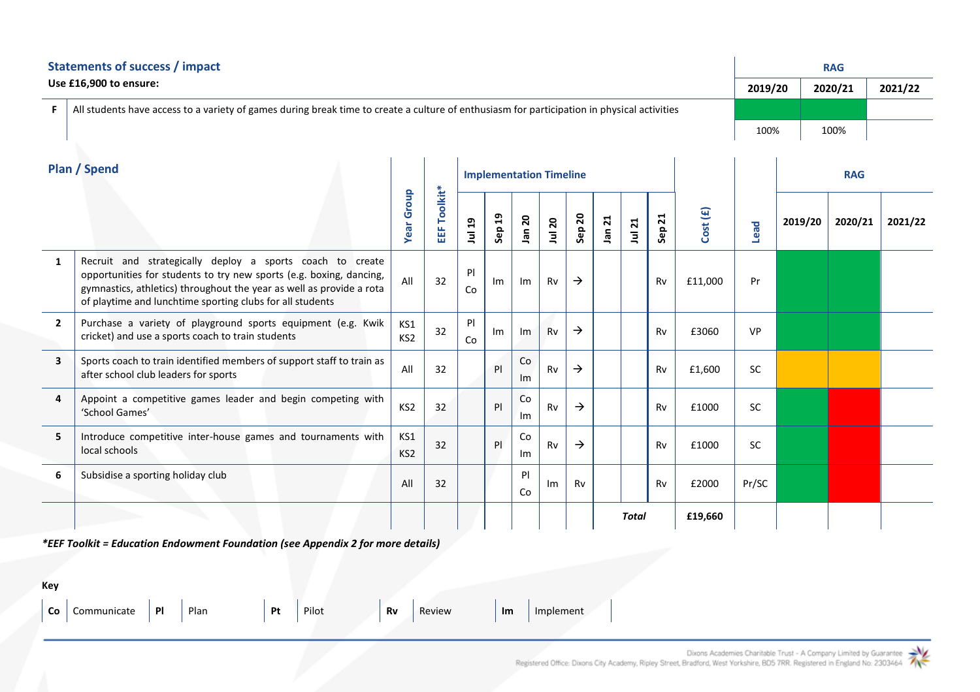| <b>Statements of success / impact</b> |                                                                                                                                                                                                                                                                       |                        |                |                                |        |          |        |               |        |        | <b>RAG</b> |          |           |            |         |  |         |
|---------------------------------------|-----------------------------------------------------------------------------------------------------------------------------------------------------------------------------------------------------------------------------------------------------------------------|------------------------|----------------|--------------------------------|--------|----------|--------|---------------|--------|--------|------------|----------|-----------|------------|---------|--|---------|
|                                       | Use £16,900 to ensure:                                                                                                                                                                                                                                                |                        |                |                                |        |          |        |               |        |        |            |          | 2019/20   |            | 2020/21 |  | 2021/22 |
| F.                                    | All students have access to a variety of games during break time to create a culture of enthusiasm for participation in physical activities                                                                                                                           |                        |                |                                |        |          |        |               |        |        |            |          |           |            |         |  |         |
|                                       |                                                                                                                                                                                                                                                                       |                        |                |                                |        |          |        |               |        |        |            |          | 100%      |            | 100%    |  |         |
| Plan / Spend                          |                                                                                                                                                                                                                                                                       |                        |                | <b>Implementation Timeline</b> |        |          |        |               |        |        |            |          |           | <b>RAG</b> |         |  |         |
|                                       |                                                                                                                                                                                                                                                                       | <b>Year Group</b>      | Toolkit*<br>ΕF | Jul 19                         | Sep 19 | Jan 20   | Jul 20 | Sep 20        | Jan 21 | Jul 21 | Sep 21     | Cost (£) | Lead      | 2019/20    | 2020/21 |  | 2021/22 |
| $\mathbf{1}$                          | Recruit and strategically deploy a sports coach to create<br>opportunities for students to try new sports (e.g. boxing, dancing,<br>gymnastics, athletics) throughout the year as well as provide a rota<br>of playtime and lunchtime sporting clubs for all students | All                    | 32             | P<br>Co                        | Im     | Im       | Rv     | $\rightarrow$ |        |        | Rv         | £11,000  | Pr        |            |         |  |         |
| $\overline{2}$                        | Purchase a variety of playground sports equipment (e.g. Kwik<br>cricket) and use a sports coach to train students                                                                                                                                                     | KS1<br>KS <sub>2</sub> | 32             | PI<br>Co                       | Im     | Im       | Rv     | $\rightarrow$ |        |        | Rv         | £3060    | <b>VP</b> |            |         |  |         |
| $\overline{\mathbf{3}}$               | Sports coach to train identified members of support staff to train as<br>after school club leaders for sports                                                                                                                                                         | All                    | 32             |                                | P      | Co<br>Im | Rv     | $\rightarrow$ |        |        | Rv         | £1,600   | <b>SC</b> |            |         |  |         |
| 4                                     | Appoint a competitive games leader and begin competing with<br>'School Games'                                                                                                                                                                                         | KS <sub>2</sub>        | 32             |                                | P      | Co<br>Im | Rv     | $\rightarrow$ |        |        | Rv         | £1000    | <b>SC</b> |            |         |  |         |
| 5                                     | Introduce competitive inter-house games and tournaments with<br>local schools                                                                                                                                                                                         | KS1<br>KS <sub>2</sub> | 32             |                                | P      | Co<br>Im | Rv     | $\rightarrow$ |        |        | Rv         | £1000    | <b>SC</b> |            |         |  |         |
| 6                                     | Subsidise a sporting holiday club                                                                                                                                                                                                                                     | All                    | 32             |                                |        | P<br>Co  | Im     | Rv            |        |        | Rv         | £2000    | Pr/SC     |            |         |  |         |
|                                       |                                                                                                                                                                                                                                                                       |                        |                |                                |        |          |        |               |        | Total  |            | £19,660  |           |            |         |  |         |

*\*EEF Toolkit = Education Endowment Foundation (see Appendix 2 for more details)*

| Key |                                                        |  |             |                                      |  |
|-----|--------------------------------------------------------|--|-------------|--------------------------------------|--|
|     | $\vert$ Co $\vert$ Communicate $\vert$ PI $\vert$ Plan |  | $p_t$ Pilot | <b>Rv</b> Review <b>Im</b> Implement |  |

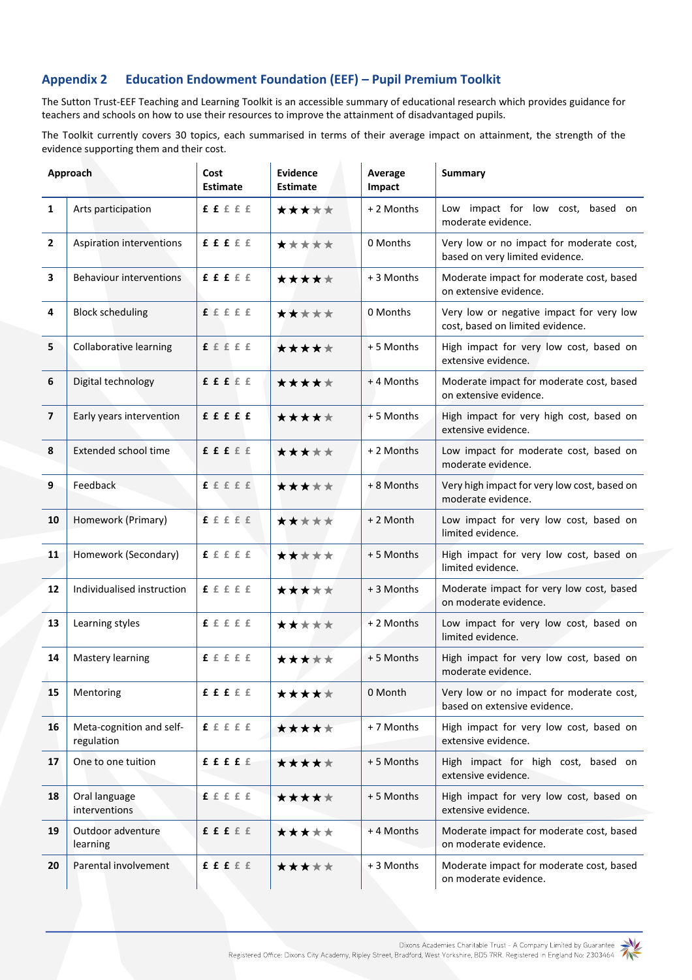## **Appendix 2 Education Endowment Foundation (EEF) – Pupil Premium Toolkit**

The Sutton Trust-EEF Teaching and Learning Toolkit is an accessible summary of educational research which provides guidance for teachers and schools on how to use their resources to improve the attainment of disadvantaged pupils.

The Toolkit currently covers 30 topics, each summarised in terms of their average impact on attainment, the strength of the evidence supporting them and their cost.

| Approach                |                                        | Cost<br><b>Estimate</b> | Evidence<br><b>Estimate</b> | Average<br>Impact | <b>Summary</b>                                                               |
|-------------------------|----------------------------------------|-------------------------|-----------------------------|-------------------|------------------------------------------------------------------------------|
| $\mathbf{1}$            | Arts participation                     | f f f f f f             | *****                       | + 2 Months        | Low impact for low cost, based on<br>moderate evidence.                      |
| $\overline{2}$          | Aspiration interventions               | <b>ffffff</b>           | *****                       | 0 Months          | Very low or no impact for moderate cost,<br>based on very limited evidence.  |
| $\overline{\mathbf{3}}$ | <b>Behaviour interventions</b>         | f f f f f f             | *****                       | + 3 Months        | Moderate impact for moderate cost, based<br>on extensive evidence.           |
| 4                       | <b>Block scheduling</b>                | $f \in f \in E$         | *****                       | 0 Months          | Very low or negative impact for very low<br>cost, based on limited evidence. |
| 5                       | Collaborative learning                 | f f f f f               | *****                       | +5 Months         | High impact for very low cost, based on<br>extensive evidence.               |
| 6                       | Digital technology                     | f f f f f f             | *****                       | +4 Months         | Moderate impact for moderate cost, based<br>on extensive evidence.           |
| $\overline{7}$          | Early years intervention               | fffff                   | *****                       | +5 Months         | High impact for very high cost, based on<br>extensive evidence.              |
| 8                       | Extended school time                   | f f f f f f             | *****                       | + 2 Months        | Low impact for moderate cost, based on<br>moderate evidence.                 |
| 9                       | Feedback                               | fffff                   | *****                       | + 8 Months        | Very high impact for very low cost, based on<br>moderate evidence.           |
| 10                      | Homework (Primary)                     | fffff                   | *****                       | + 2 Month         | Low impact for very low cost, based on<br>limited evidence.                  |
| 11                      | Homework (Secondary)                   | ffffff                  | *****                       | +5 Months         | High impact for very low cost, based on<br>limited evidence.                 |
| 12                      | Individualised instruction             | <b>f</b> fffff          | *****                       | + 3 Months        | Moderate impact for very low cost, based<br>on moderate evidence.            |
| 13                      | Learning styles                        | ffffff                  | *****                       | + 2 Months        | Low impact for very low cost, based on<br>limited evidence.                  |
| 14                      | Mastery learning                       | fffff                   | *****                       | +5 Months         | High impact for very low cost, based on<br>moderate evidence.                |
| 15                      | Mentoring                              | f f f f f f             | *****                       | 0 Month           | Very low or no impact for moderate cost,<br>based on extensive evidence.     |
| 16                      | Meta-cognition and self-<br>regulation | f f f f f               | *****                       | + 7 Months        | High impact for very low cost, based on<br>extensive evidence.               |
| 17                      | One to one tuition                     | fffff                   | *****                       | +5 Months         | High impact for high cost, based on<br>extensive evidence.                   |
| 18                      | Oral language<br>interventions         | f f f f f f             | *****                       | +5 Months         | High impact for very low cost, based on<br>extensive evidence.               |
| 19                      | Outdoor adventure<br>learning          | f f f f f f             | ★★★★★                       | +4 Months         | Moderate impact for moderate cost, based<br>on moderate evidence.            |
| 20                      | Parental involvement                   | f f f f f f             | *****                       | +3 Months         | Moderate impact for moderate cost, based<br>on moderate evidence.            |